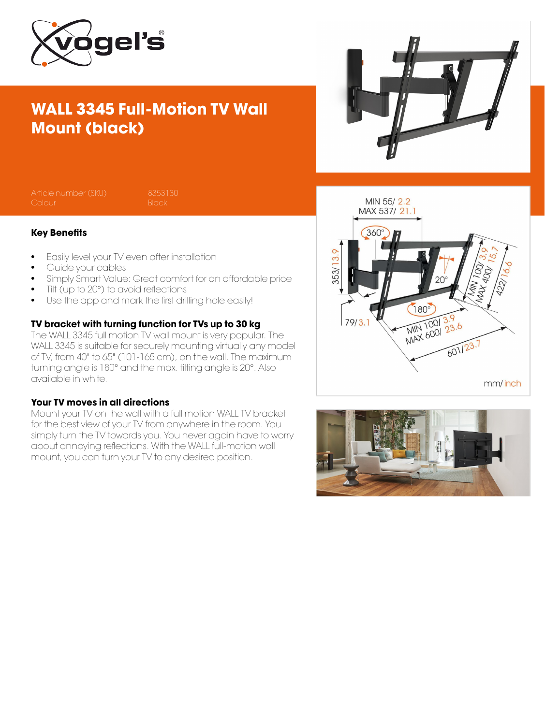

# WALL 3345 Full-Motion TV Wall Mount (black)



Article number (SKU) 8353130<br>Colour Black

#### Key Benefits

- Easily level your TV even after installation
- Guide your cables
- Simply Smart Value: Great comfort for an affordable price
- Tilt (up to 20°) to avoid reflections
- Use the app and mark the first drilling hole easily!

### TV bracket with turning function for TVs up to 30 kg

The WALL 3345 full motion TV wall mount is very popular. The WALL 3345 is suitable for securely mounting virtually any model of TV, from 40" to 65" (101-165 cm), on the wall. The maximum turning angle is 180° and the max. tilting angle is 20°. Also available in white.

#### Your TV moves in all directions

Mount your TV on the wall with a full motion WALL TV bracket for the best view of your TV from anywhere in the room. You simply turn the TV towards you. You never again have to worry about annoying reflections. With the WALL full-motion wall mount, you can turn your TV to any desired position.